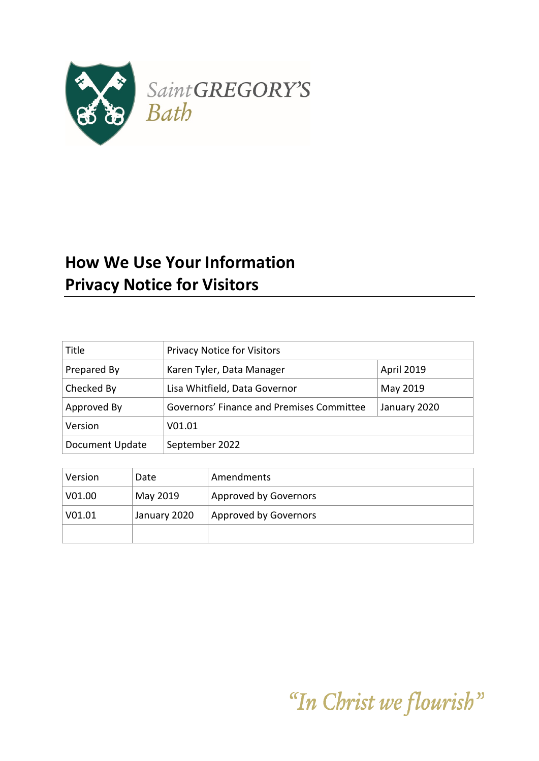

# **How We Use Your Information Privacy Notice for Visitors**

| Title           | <b>Privacy Notice for Visitors</b>                        |  |
|-----------------|-----------------------------------------------------------|--|
| Prepared By     | April 2019<br>Karen Tyler, Data Manager                   |  |
| Checked By      | Lisa Whitfield, Data Governor<br>May 2019                 |  |
| Approved By     | Governors' Finance and Premises Committee<br>January 2020 |  |
| Version         | V01.01                                                    |  |
| Document Update | September 2022                                            |  |

| Version        | Date         | Amendments            |
|----------------|--------------|-----------------------|
| V01.00         | May 2019     | Approved by Governors |
| $\sqrt{01.01}$ | January 2020 | Approved by Governors |
|                |              |                       |

"In Christ we flourish"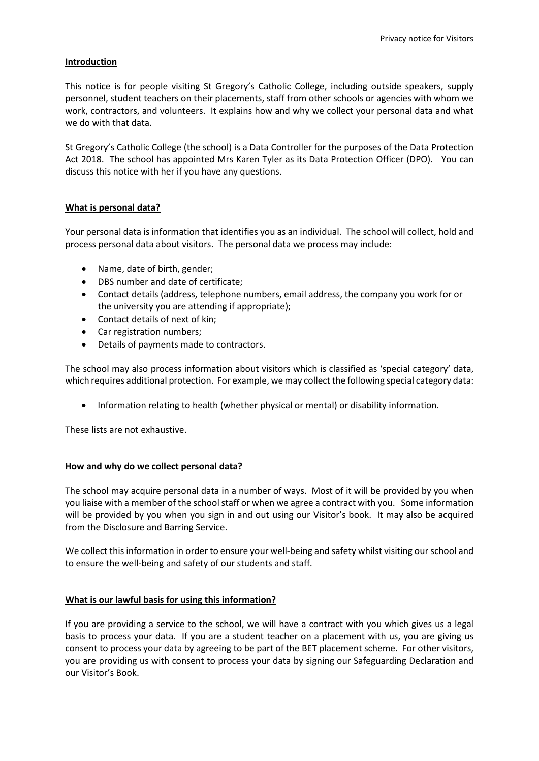### **Introduction**

This notice is for people visiting St Gregory's Catholic College, including outside speakers, supply personnel, student teachers on their placements, staff from other schools or agencies with whom we work, contractors, and volunteers. It explains how and why we collect your personal data and what we do with that data.

St Gregory's Catholic College (the school) is a Data Controller for the purposes of the Data Protection Act 2018. The school has appointed Mrs Karen Tyler as its Data Protection Officer (DPO). You can discuss this notice with her if you have any questions.

## **What is personal data?**

Your personal data is information that identifies you as an individual. The school will collect, hold and process personal data about visitors. The personal data we process may include:

- Name, date of birth, gender;
- DBS number and date of certificate;
- Contact details (address, telephone numbers, email address, the company you work for or the university you are attending if appropriate);
- Contact details of next of kin;
- Car registration numbers;
- Details of payments made to contractors.

The school may also process information about visitors which is classified as 'special category' data, which requires additional protection. For example, we may collect the following special category data:

• Information relating to health (whether physical or mental) or disability information.

These lists are not exhaustive.

#### **How and why do we collect personal data?**

The school may acquire personal data in a number of ways. Most of it will be provided by you when you liaise with a member of the school staff or when we agree a contract with you. Some information will be provided by you when you sign in and out using our Visitor's book. It may also be acquired from the Disclosure and Barring Service.

We collect this information in order to ensure your well-being and safety whilst visiting our school and to ensure the well-being and safety of our students and staff.

#### **What is our lawful basis for using this information?**

If you are providing a service to the school, we will have a contract with you which gives us a legal basis to process your data. If you are a student teacher on a placement with us, you are giving us consent to process your data by agreeing to be part of the BET placement scheme. For other visitors, you are providing us with consent to process your data by signing our Safeguarding Declaration and our Visitor's Book.